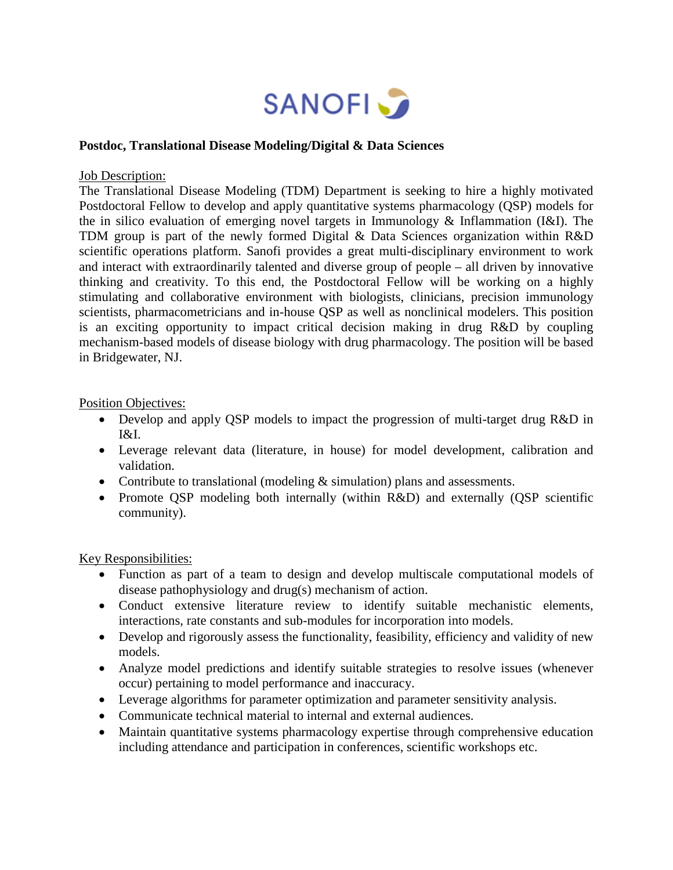

## **Postdoc, Translational Disease Modeling/Digital & Data Sciences**

## Job Description:

The Translational Disease Modeling (TDM) Department is seeking to hire a highly motivated Postdoctoral Fellow to develop and apply quantitative systems pharmacology (QSP) models for the in silico evaluation of emerging novel targets in Immunology & Inflammation (I&I). The TDM group is part of the newly formed Digital & Data Sciences organization within R&D scientific operations platform. Sanofi provides a great multi-disciplinary environment to work and interact with extraordinarily talented and diverse group of people – all driven by innovative thinking and creativity. To this end, the Postdoctoral Fellow will be working on a highly stimulating and collaborative environment with biologists, clinicians, precision immunology scientists, pharmacometricians and in-house QSP as well as nonclinical modelers. This position is an exciting opportunity to impact critical decision making in drug R&D by coupling mechanism-based models of disease biology with drug pharmacology. The position will be based in Bridgewater, NJ.

## Position Objectives:

- Develop and apply OSP models to impact the progression of multi-target drug R&D in I&I.
- Leverage relevant data (literature, in house) for model development, calibration and validation.
- Contribute to translational (modeling  $&$  simulation) plans and assessments.
- Promote OSP modeling both internally (within R&D) and externally (OSP scientific community).

## Key Responsibilities:

- Function as part of a team to design and develop multiscale computational models of disease pathophysiology and drug(s) mechanism of action.
- Conduct extensive literature review to identify suitable mechanistic elements, interactions, rate constants and sub-modules for incorporation into models.
- Develop and rigorously assess the functionality, feasibility, efficiency and validity of new models.
- Analyze model predictions and identify suitable strategies to resolve issues (whenever occur) pertaining to model performance and inaccuracy.
- Leverage algorithms for parameter optimization and parameter sensitivity analysis.
- Communicate technical material to internal and external audiences.
- Maintain quantitative systems pharmacology expertise through comprehensive education including attendance and participation in conferences, scientific workshops etc.